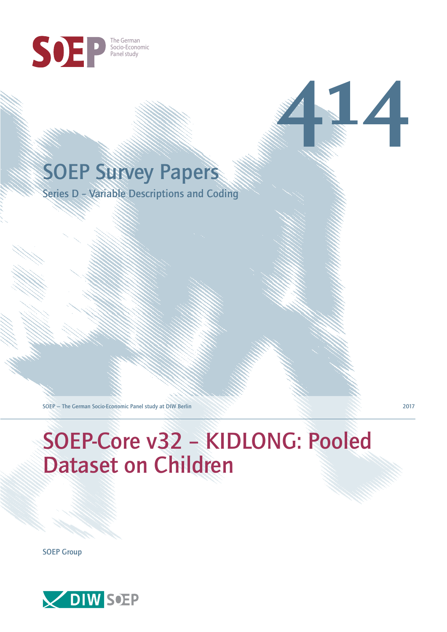

## SOEP Survey Papers

Series D – Variable Descriptions and Coding

SOEP — The German Socio-Economic Panel study at DIW Berlin 2017

# SOEP-Core v32 – KIDLONG: Pooled Dataset on Children

SOEP Group



**414**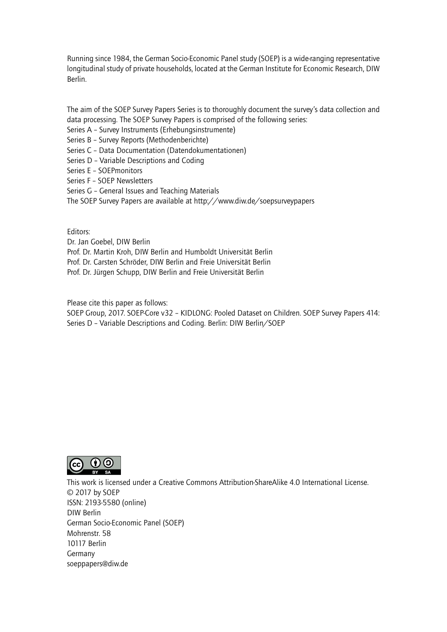Running since 1984, the German Socio-Economic Panel study (SOEP) is a wide-ranging representative longitudinal study of private households, located at the German Institute for Economic Research, DIW Berlin.

The aim of the SOEP Survey Papers Series is to thoroughly document the survey's data collection and data processing. The SOEP Survey Papers is comprised of the following series:

- Series A Survey Instruments (Erhebungsinstrumente)
- Series B Survey Reports (Methodenberichte)
- Series C Data Documentation (Datendokumentationen)
- Series D Variable Descriptions and Coding
- Series E SOEPmonitors
- Series F SOEP Newsletters
- Series G General Issues and Teaching Materials
- The SOEP Survey Papers are available at http://www.diw.de/soepsurveypapers

Editors:

Dr. Jan Goebel, DIW Berlin

- Prof. Dr. Martin Kroh, DIW Berlin and Humboldt Universität Berlin
- Prof. Dr. Carsten Schröder, DIW Berlin and Freie Universität Berlin
- Prof. Dr. Jürgen Schupp, DIW Berlin and Freie Universität Berlin

Please cite this paper as follows:

SOEP Group, 2017. SOEP-Core v32 – KIDLONG: Pooled Dataset on Children. SOEP Survey Papers 414: Series D – Variable Descriptions and Coding. Berlin: DIW Berlin/SOEP



This work is licensed under a Creative Commons Attribution-ShareAlike 4.0 International License. © 2017 by SOEP ISSN: 2193-5580 (online) DIW Berlin German Socio-Economic Pan[el \(SOEP\)](http://creativecommons.org/licenses/by-sa/4.0/) Mohrenstr. 58 10117 Berlin Germany soeppapers@diw.de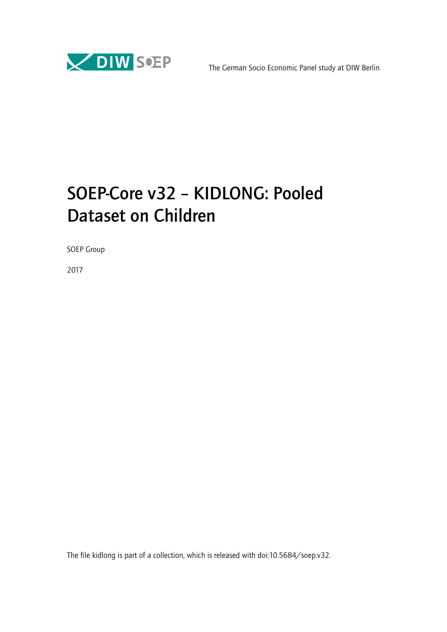

## SOEP-Core v32 – KIDLONG: Pooled Dataset on Children

SOEP Group

2017

The file kidlong is part of a collection, which is released with doi:10.5684/soep.v32.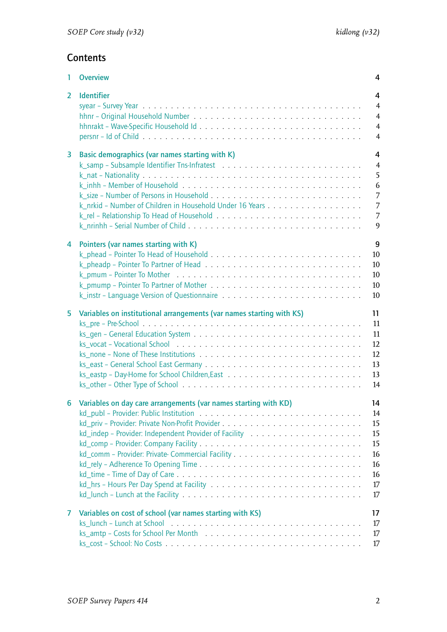## **Contents**

| 1.             | <b>Overview</b>                                                      | 4                   |
|----------------|----------------------------------------------------------------------|---------------------|
| $\overline{2}$ | <b>Identifier</b>                                                    | 4                   |
|                |                                                                      | $\overline{4}$      |
|                |                                                                      | $\overline{4}$      |
|                |                                                                      | $\overline{4}$      |
|                |                                                                      | $\overline{4}$      |
|                |                                                                      |                     |
| 3              | Basic demographics (var names starting with K)                       | 4<br>$\overline{4}$ |
|                |                                                                      | 5                   |
|                |                                                                      |                     |
|                |                                                                      | 6                   |
|                |                                                                      | 7                   |
|                |                                                                      | $\overline{7}$      |
|                |                                                                      | 7                   |
|                |                                                                      | 9                   |
| 4              | Pointers (var names starting with K)                                 | 9                   |
|                |                                                                      | 10                  |
|                |                                                                      | 10                  |
|                |                                                                      | 10                  |
|                |                                                                      | 10                  |
|                |                                                                      | 10                  |
|                |                                                                      |                     |
| 5              | Variables on institutional arrangements (var names starting with KS) | 11                  |
|                |                                                                      | 11                  |
|                |                                                                      | 11                  |
|                |                                                                      | 12                  |
|                |                                                                      | 12                  |
|                |                                                                      | 13                  |
|                |                                                                      | 13                  |
|                |                                                                      | 14                  |
|                |                                                                      |                     |
|                | 6 Variables on day care arrangements (var names starting with KD)    | 14                  |
|                |                                                                      | 14                  |
|                |                                                                      | 15                  |
|                |                                                                      | 15                  |
|                |                                                                      | 15                  |
|                |                                                                      | $16\,$              |
|                |                                                                      | 16                  |
|                |                                                                      | 16                  |
|                |                                                                      | 17                  |
|                |                                                                      | 17                  |
| 7              | Variables on cost of school (var names starting with KS)             | 17                  |
|                |                                                                      | 17                  |
|                |                                                                      | 17                  |
|                |                                                                      | 17                  |
|                |                                                                      |                     |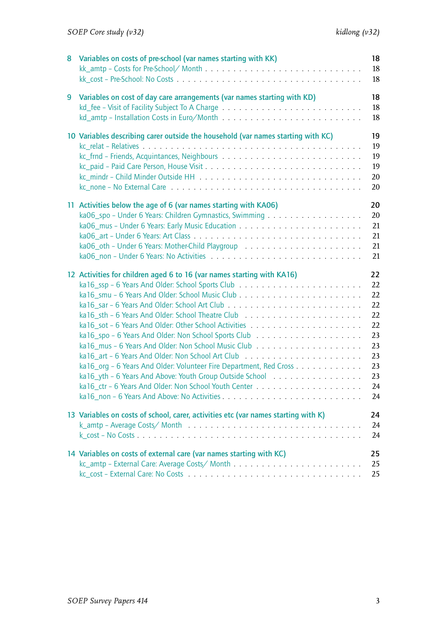| 8 | Variables on costs of pre-school (var names starting with KK)                                                                                                                                                                                                           | 18<br>18<br>18                                                             |
|---|-------------------------------------------------------------------------------------------------------------------------------------------------------------------------------------------------------------------------------------------------------------------------|----------------------------------------------------------------------------|
| 9 | Variables on cost of day care arrangements (var names starting with KD)                                                                                                                                                                                                 | 18<br>18<br>18                                                             |
|   | 10 Variables describing carer outside the household (var names starting with KC)                                                                                                                                                                                        | 19<br>19<br>19<br>19<br>20<br>20                                           |
|   | 11 Activities below the age of 6 (var names starting with KA06)                                                                                                                                                                                                         | 20<br>20<br>21<br>21<br>21<br>21                                           |
|   | 12 Activities for children aged 6 to 16 (var names starting with KA16)<br>ka16_org - 6 Years And Older: Volunteer Fire Department, Red Cross<br>ka16_yth - 6 Years And Above: Youth Group Outside School<br>ka16 ctr - 6 Years And Older: Non School Youth Center.<br>. | 22<br>22<br>22<br>22<br>22<br>22<br>23<br>23<br>23<br>23<br>23<br>24<br>24 |
|   | 13 Variables on costs of school, carer, activities etc (var names starting with K)                                                                                                                                                                                      | 24<br>24<br>24                                                             |
|   | 14 Variables on costs of external care (var names starting with KC)                                                                                                                                                                                                     | 25<br>25                                                                   |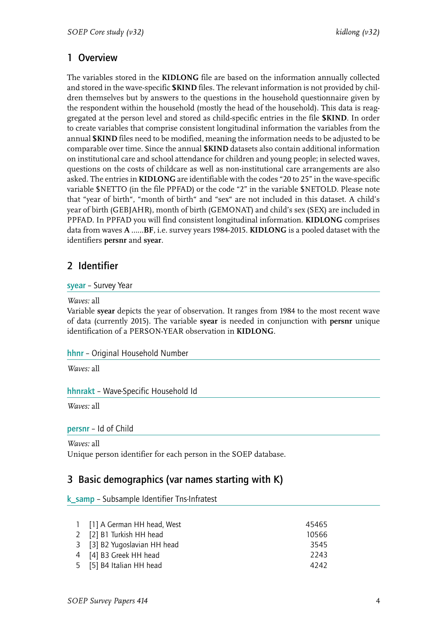## <span id="page-5-0"></span>1 Overview

The variables stored in the **KIDLONG** file are based on the information annually collected and stored in the wave-specific **\$KIND** files. The relevant information is not provided by children themselves but by answers to the questions in the household questionnaire given by the respondent within the household (mostly the head of the household). This data is reaggregated at the person level and stored as child-specific entries in the file **\$KIND**. In order to create variables that comprise consistent longitudinal information the variables from the annual **\$KIND** files need to be modified, meaning the information needs to be adjusted to be comparable over time. Since the annual **\$KIND** datasets also contain additional information on institutional care and school attendance for children and young people; in selected waves, questions on the costs of childcare as well as non-institutional care arrangements are also asked. The entries in **KIDLONG** are identifiable with the codes "20 to 25" in the wave-specific variable \$NETTO (in the file PPFAD) or the code "2" in the variable \$NETOLD. Please note that "year of birth", "month of birth" and "sex" are not included in this dataset. A child's year of birth (GEBJAHR), month of birth (GEMONAT) and child's sex (SEX) are included in PPFAD. In PPFAD you will find consistent longitudinal information. **KIDLONG** comprises data from waves **A** ……**BF**, i.e. survey years 1984-2015. **KIDLONG** is a pooled dataset with the identifiers **persnr** and **syear**.

## <span id="page-5-1"></span>2 Identifier

#### <span id="page-5-2"></span>syear – Survey Year

#### *Waves:* all

Variable **syear** depicts the year of observation. It ranges from 1984 to the most recent wave of data (currently 2015). The variable **syear** is needed in conjunction with **persnr** unique identification of a PERSON-YEAR observation in **KIDLONG**.

#### <span id="page-5-3"></span>hhnr – Original Household Number

*Waves:* all

#### <span id="page-5-4"></span>hhnrakt – Wave-Specific Household Id

*Waves:* all

#### <span id="page-5-5"></span>persnr – Id of Child

*Waves:* all

Unique person identifier for each person in the SOEP database.

## <span id="page-5-6"></span>3 Basic demographics (var names starting with K)

<span id="page-5-7"></span>k samp – Subsample Identifier Tns-Infratest

| 1 [1] A German HH head, West | 45465 |
|------------------------------|-------|
| 2 [2] B1 Turkish HH head     | 10566 |
| 3 [3] B2 Yugoslavian HH head | 3545  |
| 4 [4] B3 Greek HH head       | 2243  |
| 5 [5] B4 Italian HH head     | 4242  |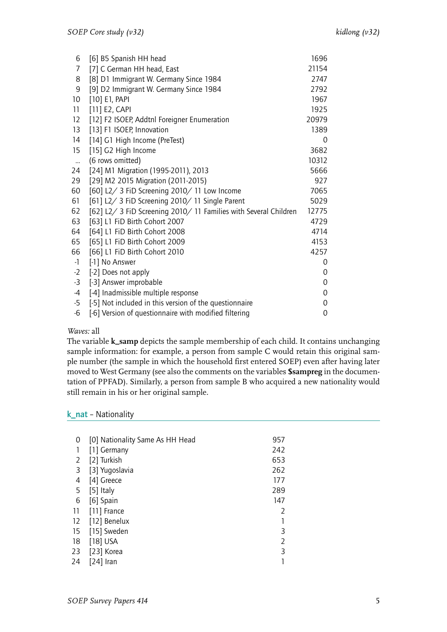| 6            | [6] B5 Spanish HH head                                           | 1696  |
|--------------|------------------------------------------------------------------|-------|
| 7            | [7] C German HH head, East                                       | 21154 |
| 8            | [8] D1 Immigrant W. Germany Since 1984                           | 2747  |
| 9            | [9] D2 Immigrant W. Germany Since 1984                           | 2792  |
| 10           | $[10]$ E1, PAPI                                                  | 1967  |
| 11           | [11] E2, CAPI                                                    | 1925  |
| 12           | [12] F2 ISOEP, Addtnl Foreigner Enumeration                      | 20979 |
| 13           | [13] F1 ISOEP, Innovation                                        | 1389  |
| 14           | [14] G1 High Income (PreTest)                                    | 0     |
| 15           | [15] G2 High Income                                              | 3682  |
| $\mathbf{m}$ | (6 rows omitted)                                                 | 10312 |
| 24           | [24] M1 Migration (1995-2011), 2013                              | 5666  |
| 29           | [29] M2 2015 Migration (2011-2015)                               | 927   |
| 60           | [60] L2/ 3 FiD Screening 2010/ 11 Low Income                     | 7065  |
| 61           | [61] L2/ 3 FiD Screening 2010/ 11 Single Parent                  | 5029  |
| 62           | [62] L2/ 3 FiD Screening 2010/ 11 Families with Several Children | 12775 |
| 63           | [63] L1 FiD Birth Cohort 2007                                    | 4729  |
| 64           | [64] L1 FiD Birth Cohort 2008                                    | 4714  |
| 65           | [65] L1 FiD Birth Cohort 2009                                    | 4153  |
| 66           | [66] L1 FiD Birth Cohort 2010                                    | 4257  |
| $-1$         | [-1] No Answer                                                   | 0     |
| $-2$         | [-2] Does not apply                                              | 0     |
| $-3$         | [-3] Answer improbable                                           | 0     |
| $-4$         | [-4] Inadmissible multiple response                              | 0     |
| $-5$         | [-5] Not included in this version of the questionnaire           | 0     |
| -6           | [-6] Version of questionnaire with modified filtering            | 0     |
|              |                                                                  |       |

#### *Waves:* all

The variable **k\_samp** depicts the sample membership of each child. It contains unchanging sample information: for example, a person from sample C would retain this original sample number (the sample in which the household first entered SOEP) even after having later moved to West Germany (see also the comments on the variables **\$sampreg** in the documentation of PPFAD). Similarly, a person from sample B who acquired a new nationality would still remain in his or her original sample.

#### <span id="page-6-0"></span>k\_nat – Nationality

| 0  | [0] Nationality Same As HH Head | 957            |
|----|---------------------------------|----------------|
|    | [1] Germany                     | 242            |
| 2  | [2] Turkish                     | 653            |
| 3  | [3] Yugoslavia                  | 262            |
| 4  | [4] Greece                      | 177            |
| 5  | $[5]$ Italy                     | 289            |
| 6  | [6] Spain                       | 147            |
| 11 | [11] France                     | 2              |
| 12 | [12] Benelux                    |                |
| 15 | [15] Sweden                     | 3              |
| 18 | $[18]$ USA                      | $\overline{2}$ |
| 23 | [23] Korea                      | 3              |
| 24 | $[24]$ Iran                     |                |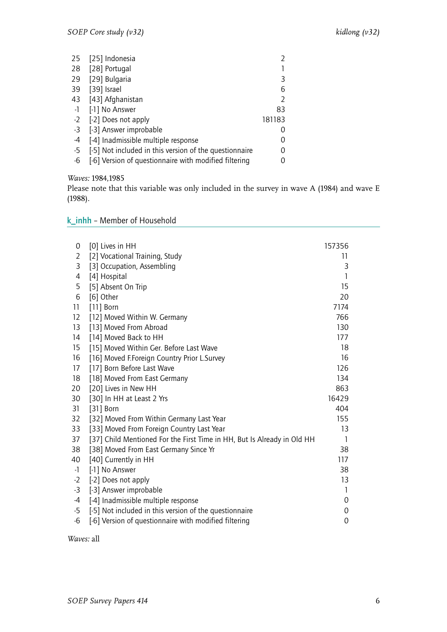| 25   | [25] Indonesia                                         |                |
|------|--------------------------------------------------------|----------------|
|      | 28 [28] Portugal                                       |                |
| 29   | [29] Bulgaria                                          | 3              |
| 39   | [39] Israel                                            | 6              |
|      | 43 [43] Afghanistan                                    | $\mathfrak{D}$ |
| $-1$ | [-1] No Answer                                         | 83             |
|      | -2 [-2] Does not apply                                 | 181183         |
| $-3$ | [-3] Answer improbable                                 |                |
| -4   | [-4] Inadmissible multiple response                    | 0              |
| -5   | [-5] Not included in this version of the questionnaire | 0              |
| -6   | [-6] Version of questionnaire with modified filtering  |                |

*Waves:* 1984,1985

Please note that this variable was only included in the survey in wave A (1984) and wave E (1988).

### <span id="page-7-0"></span>k\_inhh – Member of Household

| 0              | [0] Lives in HH                                                         | 157356 |
|----------------|-------------------------------------------------------------------------|--------|
| $\overline{2}$ | [2] Vocational Training, Study                                          | 11     |
| 3              | [3] Occupation, Assembling                                              | 3      |
| 4              | [4] Hospital                                                            | 1      |
| 5              | [5] Absent On Trip                                                      | 15     |
| 6              | [6] Other                                                               | 20     |
| 11             | $[11]$ Born                                                             | 7174   |
| 12             | [12] Moved Within W. Germany                                            | 766    |
| 13             | [13] Moved From Abroad                                                  | 130    |
| 14             | [14] Moved Back to HH                                                   | 177    |
| 15             | [15] Moved Within Ger. Before Last Wave                                 | 18     |
| 16             | [16] Moved F.Foreign Country Prior L.Survey                             | 16     |
| 17             | [17] Born Before Last Wave                                              | 126    |
| 18             | [18] Moved From East Germany                                            | 134    |
| 20             | [20] Lives in New HH                                                    | 863    |
| 30             | [30] In HH at Least 2 Yrs                                               | 16429  |
| 31             | [31] Born                                                               | 404    |
| 32             | [32] Moved From Within Germany Last Year                                | 155    |
| 33             | [33] Moved From Foreign Country Last Year                               | 13     |
| 37             | [37] Child Mentioned For the First Time in HH, But Is Already in Old HH | 1      |
| 38             | [38] Moved From East Germany Since Yr                                   | 38     |
| 40             | [40] Currently in HH                                                    | 117    |
| $-1$           | [-1] No Answer                                                          | 38     |
| $-2$           | [-2] Does not apply                                                     | 13     |
| $-3$           | [-3] Answer improbable                                                  | 1      |
| $-4$           | [-4] Inadmissible multiple response                                     | 0      |
| $-5$           | [-5] Not included in this version of the questionnaire                  | 0      |
| $-6$           | [-6] Version of questionnaire with modified filtering                   | 0      |

*Waves:* all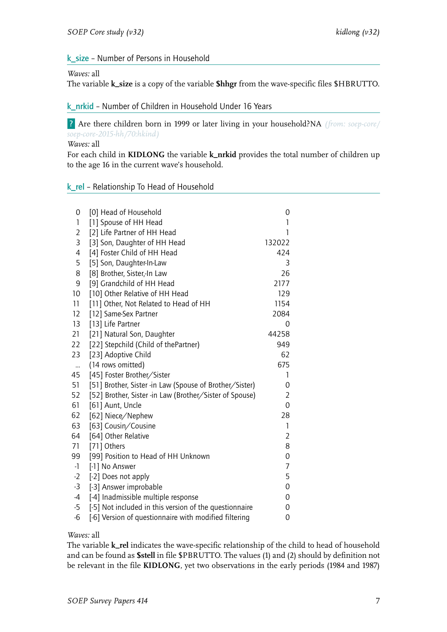#### <span id="page-8-0"></span>k\_size – Number of Persons in Household

#### *Waves:* all

The variable **k\_size** is a copy of the variable **\$hhgr** from the wave-specific files \$HBRUTTO.

#### <span id="page-8-1"></span>k\_nrkid – Number of Children in Household Under 16 Years

? Are there children born in 1999 or later living in your household?NA *(from: soep-core/ soep-core-2015-hh/70:hkind)*

*Waves:* all

For each child in **KIDLONG** the variable **k\_nrkid** provides the total number of children up to the age 16 in the current wave's household.

#### <span id="page-8-2"></span>k\_rel – Relationship To Head of Household

| 0              | [0] Head of Household                                   | 0              |
|----------------|---------------------------------------------------------|----------------|
| 1              | [1] Spouse of HH Head                                   | 1              |
| 2              | [2] Life Partner of HH Head                             | 1              |
| 3              | [3] Son, Daughter of HH Head                            | 132022         |
| $\overline{4}$ | [4] Foster Child of HH Head                             | 424            |
| 5              | [5] Son, Daughter-In-Law                                | 3              |
| 8              | [8] Brother, Sister,-In Law                             | 26             |
| 9              | [9] Grandchild of HH Head                               | 2177           |
| 10             | [10] Other Relative of HH Head                          | 129            |
| 11             | [11] Other, Not Related to Head of HH                   | 1154           |
| 12             | [12] Same-Sex Partner                                   | 2084           |
| 13             | [13] Life Partner                                       | 0              |
| 21             | [21] Natural Son, Daughter                              | 44258          |
| 22             | [22] Stepchild (Child of thePartner)                    | 949            |
| 23             | [23] Adoptive Child                                     | 62             |
| $\ddotsc$      | (14 rows omitted)                                       | 675            |
| 45             | [45] Foster Brother/Sister                              | 1              |
| 51             | [51] Brother, Sister -in Law (Spouse of Brother/Sister) | 0              |
| 52             | [52] Brother, Sister -in Law (Brother/Sister of Spouse) | $\overline{2}$ |
| 61             | [61] Aunt, Uncle                                        | $\overline{O}$ |
| 62             | [62] Niece/Nephew                                       | 28             |
| 63             | [63] Cousin/Cousine                                     | $\mathbf{1}$   |
| 64             | [64] Other Relative                                     | $\overline{2}$ |
| 71             | [71] Others                                             | 8              |
| 99             | [99] Position to Head of HH Unknown                     | 0              |
| $-1$           | [-1] No Answer                                          | $\overline{7}$ |
| $-2$           | [-2] Does not apply                                     | 5              |
| $-3$           | [-3] Answer improbable                                  | $\overline{0}$ |
| $-4$           | [-4] Inadmissible multiple response                     | 0              |
| $-5$           | [-5] Not included in this version of the questionnaire  | 0              |
| $-6$           | [-6] Version of questionnaire with modified filtering   | 0              |
|                |                                                         |                |

#### *Waves:* all

The variable **k\_rel** indicates the wave-specific relationship of the child to head of household and can be found as **\$stell** in file \$PBRUTTO. The values (1) and (2) should by definition not be relevant in the file **KIDLONG**, yet two observations in the early periods (1984 and 1987)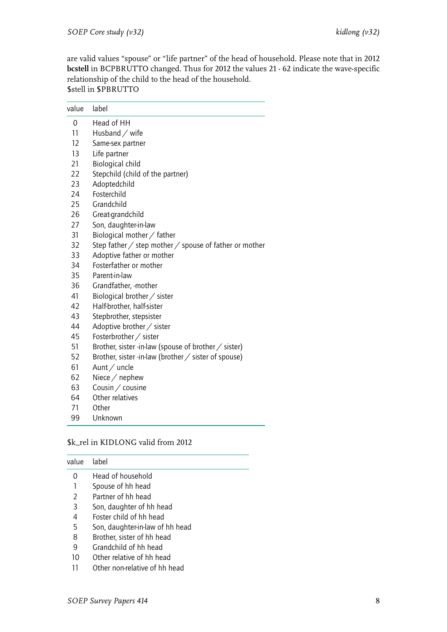are valid values "spouse" or "life partner" of the head of household. Please note that in 2012 **bcstell** in BCPBRUTTO changed. Thus for 2012 the values 21 - 62 indicate the wave-specific relationship of the child to the head of the household. \$stell in \$PBRUTTO

| value | label                                                                |
|-------|----------------------------------------------------------------------|
| 0     | Head of HH                                                           |
| 11    | Husband $\diagup$ wife                                               |
| 12    | Same-sex partner                                                     |
| 13    | Life partner                                                         |
| 21    | <b>Biological child</b>                                              |
| 22    | Stepchild (child of the partner)                                     |
| 23    | Adoptedchild                                                         |
| 24    | Fosterchild                                                          |
| 25    | Grandchild                                                           |
| 26    | Great-grandchild                                                     |
| 27    | Son, daughter-in-law                                                 |
| 31    | Biological mother / father                                           |
| 32    | Step father $\angle$ step mother $\angle$ spouse of father or mother |
| 33    | Adoptive father or mother                                            |
| 34    | Fosterfather or mother                                               |
| 35    | Parent-in-law                                                        |
| 36    | Grandfather, -mother                                                 |
| 41    | Biological brother / sister                                          |
| 42    | Half-brother, half-sister                                            |
| 43    | Stepbrother, stepsister                                              |
| 44    | Adoptive brother / sister                                            |
| 45    | Fosterbrother / sister                                               |
| 51    | Brother, sister -in-law (spouse of brother / sister)                 |
| 52    | Brother, sister -in-law (brother $\angle$ sister of spouse)          |
| 61    | Aunt / uncle                                                         |
| 62    | Niece / nephew                                                       |
| 63    | Cousin / cousine                                                     |
| 64    | Other relatives                                                      |
| 71    | Other                                                                |
| 99    | Unknown                                                              |

#### \$k\_rel in KIDLONG valid from 2012

| lahel                           |
|---------------------------------|
| Head of household               |
| Spouse of hh head               |
| Partner of hh head              |
| Son, daughter of hh head        |
| Foster child of hh head         |
| Son, daughter-in-law of hh head |
| Brother, sister of hh head      |
|                                 |

- 9 Grandchild of hh head
- 10 Other relative of hh head
- 11 Other non-relative of hh head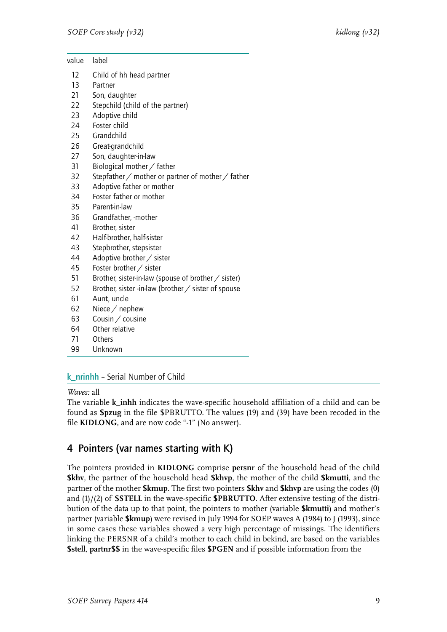| value | label                                                      |
|-------|------------------------------------------------------------|
| 12    | Child of hh head partner                                   |
| 13    | Partner                                                    |
| 21    | Son, daughter                                              |
| 22    | Stepchild (child of the partner)                           |
| 23    | Adoptive child                                             |
| 24    | Foster child                                               |
| 25    | Grandchild                                                 |
| 26    | Great-grandchild                                           |
| 27    | Son, daughter-in-law                                       |
| 31    | Biological mother / father                                 |
| 32    | Stepfather $/$ mother or partner of mother $/$ father      |
| 33    | Adoptive father or mother                                  |
| 34    | Foster father or mother                                    |
| 35    | Parent-in-law                                              |
| 36    | Grandfather, -mother                                       |
| 41    | Brother, sister                                            |
| 42    | Half-brother, half-sister                                  |
| 43    | Stepbrother, stepsister                                    |
| 44    | Adoptive brother / sister                                  |
| 45    | Foster brother / sister                                    |
| 51    | Brother, sister-in-law (spouse of brother / sister)        |
| 52    | Brother, sister -in-law (brother $\angle$ sister of spouse |
| 61    | Aunt, uncle                                                |
| 62    | Niece $/$ nephew                                           |
| 63    | Cousin / cousine                                           |
| 64    | Other relative                                             |
| 71    | Others                                                     |

99 Unknown

#### <span id="page-10-0"></span>k\_nrinhh – Serial Number of Child

#### *Waves:* all

The variable **k\_inhh** indicates the wave-specific household affiliation of a child and can be found as **\$pzug** in the file \$PBRUTTO. The values (19) and (39) have been recoded in the file **KIDLONG**, and are now code "-1" (No answer).

### <span id="page-10-1"></span>4 Pointers (var names starting with K)

The pointers provided in **KIDLONG** comprise **persnr** of the household head of the child **\$khv**, the partner of the household head **\$khvp**, the mother of the child **\$kmutti**, and the partner of the mother **\$kmup**. The first two pointers **\$khv** and **\$khvp** are using the codes (0) and (1)/(2) of **\$STELL** in the wave-specific **\$PBRUTTO**. After extensive testing of the distribution of the data up to that point, the pointers to mother (variable **\$kmutti**) and mother's partner (variable **\$kmup**) were revised in July 1994 for SOEP waves A (1984) to J (1993), since in some cases these variables showed a very high percentage of missings. The identifiers linking the PERSNR of a child's mother to each child in bekind, are based on the variables **\$stell**, **partnr\$\$** in the wave-specific files **\$PGEN** and if possible information from the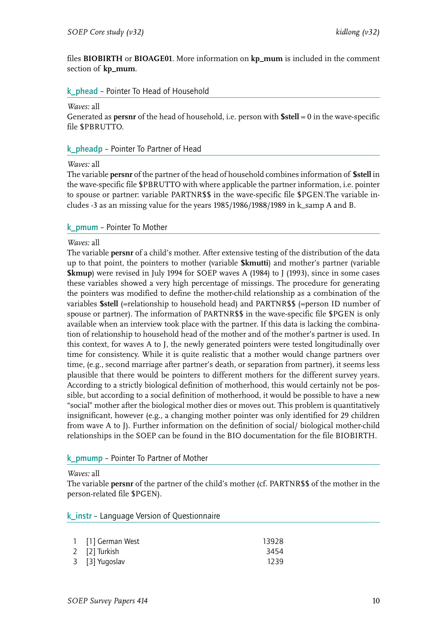files **BIOBIRTH** or **BIOAGE01**. More information on **kp\_mum** is included in the comment section of **kp\_mum**.

#### <span id="page-11-0"></span>k\_phead – Pointer To Head of Household

#### *Waves:* all

Generated as **persnr** of the head of household, i.e. person with **\$stell** = 0 in the wave-specific file \$PBRUTTO.

#### <span id="page-11-1"></span>k\_pheadp – Pointer To Partner of Head

#### *Waves:* all

The variable **persnr** of the partner of the head of household combines information of **\$stell** in the wave-specific file \$PBRUTTO with where applicable the partner information, i.e. pointer to spouse or partner: variable PARTNR\$\$ in the wave-specific file \$PGEN.The variable includes -3 as an missing value for the years 1985/1986/1988/1989 in k\_samp A and B.

#### <span id="page-11-2"></span>k\_pmum – Pointer To Mother

#### *Waves:* all

The variable **persnr** of a child's mother. After extensive testing of the distribution of the data up to that point, the pointers to mother (variable **\$kmutti**) and mother's partner (variable **\$kmup**) were revised in July 1994 for SOEP waves A (1984) to J (1993), since in some cases these variables showed a very high percentage of missings. The procedure for generating the pointers was modified to define the mother-child relationship as a combination of the variables **\$stell** (=relationship to household head) and PARTNR\$\$ (=person ID number of spouse or partner). The information of PARTNR\$\$ in the wave-specific file \$PGEN is only available when an interview took place with the partner. If this data is lacking the combination of relationship to household head of the mother and of the mother's partner is used. In this context, for waves A to J, the newly generated pointers were tested longitudinally over time for consistency. While it is quite realistic that a mother would change partners over time, (e.g., second marriage after partner's death, or separation from partner), it seems less plausible that there would be pointers to different mothers for the different survey years. According to a strictly biological definition of motherhood, this would certainly not be possible, but according to a social definition of motherhood, it would be possible to have a new "social" mother after the biological mother dies or moves out. This problem is quantitatively insignificant, however (e.g., a changing mother pointer was only identified for 29 children from wave A to J). Further information on the definition of social/ biological mother-child relationships in the SOEP can be found in the BIO documentation for the file BIOBIRTH.

#### <span id="page-11-3"></span>k\_pmump – Pointer To Partner of Mother

#### *Waves:* all

The variable **persnr** of the partner of the child's mother (cf. PARTNR\$\$ of the mother in the person-related file \$PGEN).

<span id="page-11-4"></span>k instr – Language Version of Questionnaire

| 1 [1] German West | 13928 |
|-------------------|-------|
| 2 [2] Turkish     | 3454  |
| 3 [3] Yugoslav    | 1239  |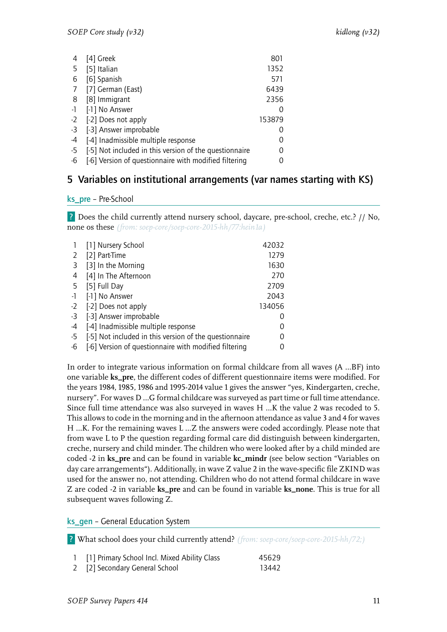| 4    | [4] Greek                                              | 801    |
|------|--------------------------------------------------------|--------|
| -5   | [5] Italian                                            | 1352   |
| 6    | [6] Spanish                                            | 571    |
| 7    | [7] German (East)                                      | 6439   |
| 8    | [8] Immigrant                                          | 2356   |
| $-1$ | [-1] No Answer                                         | O      |
| -2   | [-2] Does not apply                                    | 153879 |
| -3   | [-3] Answer improbable                                 |        |
| -4   | [-4] Inadmissible multiple response                    | 0      |
| -5   | [-5] Not included in this version of the questionnaire | 0      |
| -6   | [-6] Version of questionnaire with modified filtering  |        |
|      |                                                        |        |

## <span id="page-12-0"></span>5 Variables on institutional arrangements (var names starting with KS)

#### <span id="page-12-1"></span>ks\_pre – Pre-School

? Does the child currently attend nursery school, daycare, pre-school, creche, etc.? // No, none os these *(from: soep-core/soep-core-2015-hh/77:hein1a)*

|      | [1] Nursery School                                     | 42032  |
|------|--------------------------------------------------------|--------|
| 2    | [2] Part-Time                                          | 1279   |
| 3    | [3] In the Morning                                     | 1630   |
| 4    | [4] In The Afternoon                                   | 270    |
| 5    | [5] Full Day                                           | 2709   |
| $-1$ | [-1] No Answer                                         | 2043   |
| $-2$ | [-2] Does not apply                                    | 134056 |
| -3   | [-3] Answer improbable                                 |        |
| -4   | [-4] Inadmissible multiple response                    |        |
| -5   | [-5] Not included in this version of the questionnaire |        |
| -6   | [-6] Version of questionnaire with modified filtering  |        |

In order to integrate various information on formal childcare from all waves (A …BF) into one variable **ks\_pre**, the different codes of different questionnaire items were modified. For the years 1984, 1985, 1986 and 1995-2014 value 1 gives the answer "yes, Kindergarten, creche, nursery". For waves D …G formal childcare was surveyed as part time or full time attendance. Since full time attendance was also surveyed in waves H …K the value 2 was recoded to 5. This allows to code in the morning and in the afternoon attendance as value 3 and 4 for waves H …K. For the remaining waves L …Z the answers were coded accordingly. Please note that from wave L to P the question regarding formal care did distinguish between kindergarten, creche, nursery and child minder. The children who were looked after by a child minded are coded -2 in **ks\_pre** and can be found in variable **kc\_mindr** (see below section "Variables on day care arrangements"). Additionally, in wave Z value 2 in the wave-specific file ZKIND was used for the answer no, not attending. Children who do not attend formal childcare in wave Z are coded -2 in variable **ks\_pre** and can be found in variable **ks\_none**. This is true for all subsequent waves following Z.

<span id="page-12-2"></span>ks gen - General Education System

? What school does your child currently attend? *(from: soep-core/soep-core-2015-hh/72;)*

| 1 [1] Primary School Incl. Mixed Ability Class | 45629 |
|------------------------------------------------|-------|
| 2 [2] Secondary General School                 | 13442 |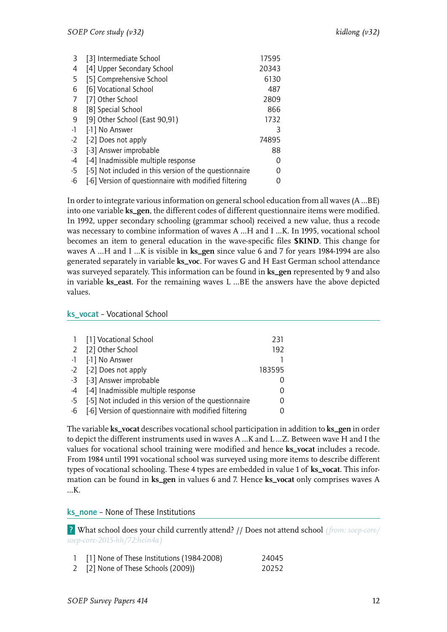| 3    | [3] Intermediate School                                | 17595 |
|------|--------------------------------------------------------|-------|
| 4    | [4] Upper Secondary School                             | 20343 |
| 5    | [5] Comprehensive School                               | 6130  |
| 6    | [6] Vocational School                                  | 487   |
| 7    | [7] Other School                                       | 2809  |
| 8    | [8] Special School                                     | 866   |
| 9    | [9] Other School (East 90,91)                          | 1732  |
| $-1$ | [-1] No Answer                                         | 3     |
| $-2$ | [-2] Does not apply                                    | 74895 |
| -3   | [-3] Answer improbable                                 | 88    |
| -4   | [-4] Inadmissible multiple response                    | Ω     |
| -5   | [-5] Not included in this version of the questionnaire |       |
| -6   | [-6] Version of questionnaire with modified filtering  |       |

In order to integrate various information on general school education from all waves (A …BE) into one variable **ks\_gen**, the different codes of different questionnaire items were modified. In 1992, upper secondary schooling (grammar school) received a new value, thus a recode was necessary to combine information of waves A …H and I …K. In 1995, vocational school becomes an item to general education in the wave-specific files **\$KIND**. This change for waves A …H and I …K is visible in **ks\_gen** since value 6 and 7 for years 1984-1994 are also generated separately in variable **ks\_voc**. For waves G and H East German school attendance was surveyed separately. This information can be found in **ks\_gen** represented by 9 and also in variable **ks\_east**. For the remaining waves L …BE the answers have the above depicted values.

#### <span id="page-13-0"></span>ks\_vocat – Vocational School

| 1 [1] Vocational School                                   | 231    |
|-----------------------------------------------------------|--------|
| 2 [2] Other School                                        | 192    |
| -1 [-1] No Answer                                         |        |
| -2 [-2] Does not apply                                    | 183595 |
| -3 [-3] Answer improbable                                 |        |
| -4 [-4] Inadmissible multiple response                    |        |
| -5 [-5] Not included in this version of the questionnaire |        |
| -6 [-6] Version of questionnaire with modified filtering  |        |

The variable **ks\_vocat** describes vocational school participation in addition to **ks\_gen** in order to depict the different instruments used in waves A …K and L …Z. Between wave H and I the values for vocational school training were modified and hence **ks\_vocat** includes a recode. From 1984 until 1991 vocational school was surveyed using more items to describe different types of vocational schooling. These 4 types are embedded in value 1 of **ks\_vocat**. This information can be found in **ks\_gen** in values 6 and 7. Hence **ks\_vocat** only comprises waves A …K.

#### <span id="page-13-1"></span>ks\_none – None of These Institutions

? What school does your child currently attend? // Does not attend school *(from: soep-core/ soep-core-2015-hh/72:hein4a)*

- 1 [1] None of These Institutions (1984-2008) 24045
- 2 [2] None of These Schools (2009)) 20252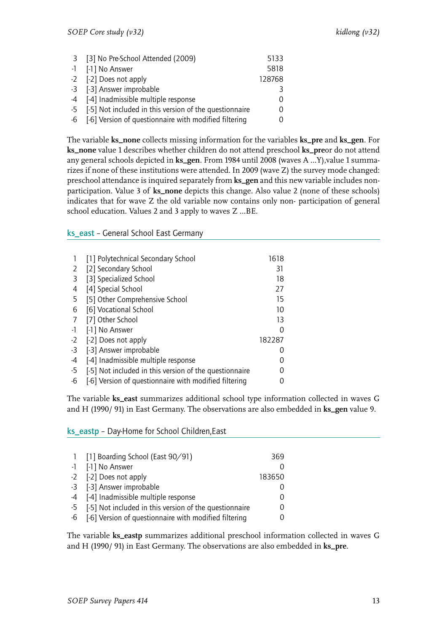| 3 [3] No Pre-School Attended (2009)                       | 5133     |
|-----------------------------------------------------------|----------|
| -1 [-1] No Answer                                         | 5818     |
| -2 [-2] Does not apply                                    | 128768   |
| -3 [-3] Answer improbable                                 | 3        |
| -4 [-4] Inadmissible multiple response                    | $\Omega$ |
| -5 [-5] Not included in this version of the questionnaire | 0        |
| -6 [-6] Version of questionnaire with modified filtering  |          |

The variable **ks\_none** collects missing information for the variables **ks\_pre** and **ks\_gen**. For **ks\_none** value 1 describes whether children do not attend preschool **ks\_pre**or do not attend any general schools depicted in **ks\_gen**. From 1984 until 2008 (waves A …Y),value 1 summarizes if none of these institutions were attended. In 2009 (wave Z) the survey mode changed: preschool attendance is inquired separately from **ks\_gen** and this new variable includes nonparticipation. Value 3 of **ks\_none** depicts this change. Also value 2 (none of these schools) indicates that for wave Z the old variable now contains only non- participation of general school education. Values 2 and 3 apply to waves Z …BE.

#### <span id="page-14-0"></span>ks\_east – General School East Germany

|      | [1] Polytechnical Secondary School                     | 1618   |
|------|--------------------------------------------------------|--------|
| 2    | [2] Secondary School                                   | 31     |
| 3    | [3] Specialized School                                 | 18     |
| 4    | [4] Special School                                     | 27     |
| 5    | [5] Other Comprehensive School                         | 15     |
| 6    | [6] Vocational School                                  | 10     |
|      | [7] Other School                                       | 13     |
| $-1$ | [-1] No Answer                                         |        |
| $-2$ | [-2] Does not apply                                    | 182287 |
| -3   | [-3] Answer improbable                                 |        |
| -4   | [-4] Inadmissible multiple response                    |        |
| -5   | [-5] Not included in this version of the questionnaire |        |
| -6   | [-6] Version of questionnaire with modified filtering  |        |

The variable **ks\_east** summarizes additional school type information collected in waves G and H (1990/ 91) in East Germany. The observations are also embedded in **ks\_gen** value 9.

<span id="page-14-1"></span>ks\_eastp – Day-Home for School Children,East

| 1 [1] Boarding School (East 90/91)                        | 369              |
|-----------------------------------------------------------|------------------|
| -1 [-1] No Answer                                         |                  |
| -2 [-2] Does not apply                                    | 183650           |
| -3 [-3] Answer improbable                                 |                  |
| -4 [-4] Inadmissible multiple response                    |                  |
| -5 [-5] Not included in this version of the questionnaire | $\left( \right)$ |
| -6 [-6] Version of questionnaire with modified filtering  |                  |

The variable **ks\_eastp** summarizes additional preschool information collected in waves G and H (1990/ 91) in East Germany. The observations are also embedded in **ks\_pre**.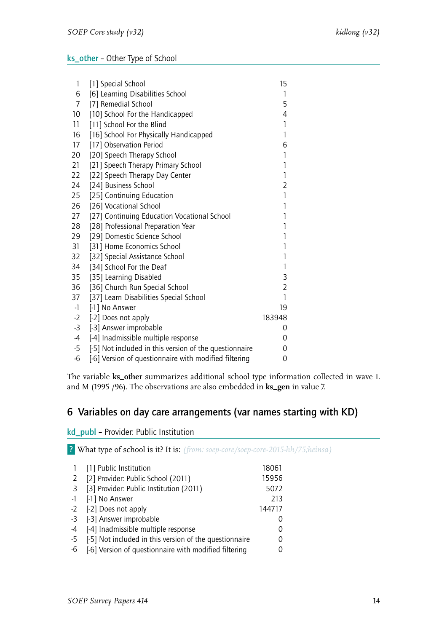#### <span id="page-15-0"></span>ks\_other – Other Type of School

| 1    | [1] Special School                                     | 15             |
|------|--------------------------------------------------------|----------------|
| 6    | [6] Learning Disabilities School                       | 1              |
| 7    | [7] Remedial School                                    | 5              |
| 10   | [10] School For the Handicapped                        | 4              |
| 11   | [11] School For the Blind                              | 1              |
| 16   | [16] School For Physically Handicapped                 | 1              |
| 17   | [17] Observation Period                                | 6              |
| 20   | [20] Speech Therapy School                             | $\mathbf{1}$   |
| 21   | [21] Speech Therapy Primary School                     | $\mathbf{1}$   |
| 22   | [22] Speech Therapy Day Center                         | $\mathbf{1}$   |
| 24   | [24] Business School                                   | $\overline{2}$ |
| 25   | [25] Continuing Education                              | $\mathbf{1}$   |
| 26   | [26] Vocational School                                 | $\mathbf{1}$   |
| 27   | [27] Continuing Education Vocational School            | $\mathbf{1}$   |
| 28   | [28] Professional Preparation Year                     | $\mathbf{1}$   |
| 29   | [29] Domestic Science School                           | 1              |
| 31   | [31] Home Economics School                             | $\mathbf{1}$   |
| 32   | [32] Special Assistance School                         | $\mathbf{1}$   |
| 34   | [34] School For the Deaf                               | 1              |
| 35   | [35] Learning Disabled                                 | 3              |
| 36   | [36] Church Run Special School                         | $\overline{2}$ |
| 37   | [37] Learn Disabilities Special School                 | $\mathbf{1}$   |
| $-1$ | [-1] No Answer                                         | 19             |
| $-2$ | [-2] Does not apply                                    | 183948         |
| $-3$ | [-3] Answer improbable                                 | 0              |
| $-4$ | [-4] Inadmissible multiple response                    | 0              |
| $-5$ | [-5] Not included in this version of the questionnaire | 0              |
| -6   | [-6] Version of questionnaire with modified filtering  | 0              |

The variable **ks\_other** summarizes additional school type information collected in wave L and M (1995 /96). The observations are also embedded in **ks\_gen** in value 7.

## <span id="page-15-1"></span>6 Variables on day care arrangements (var names starting with KD)

<span id="page-15-2"></span>kd\_publ – Provider: Public Institution

? What type of school is it? It is: *(from: soep-core/soep-core-2015-hh/75;heinsa)*

|                                         | 18061                                                                                                                                                                                                                                                      |
|-----------------------------------------|------------------------------------------------------------------------------------------------------------------------------------------------------------------------------------------------------------------------------------------------------------|
| [2] Provider: Public School (2011)      | 15956                                                                                                                                                                                                                                                      |
| [3] Provider: Public Institution (2011) | 5072                                                                                                                                                                                                                                                       |
| [-1] No Answer                          | 213                                                                                                                                                                                                                                                        |
|                                         | 144717                                                                                                                                                                                                                                                     |
|                                         |                                                                                                                                                                                                                                                            |
|                                         | 0                                                                                                                                                                                                                                                          |
|                                         | 0                                                                                                                                                                                                                                                          |
|                                         |                                                                                                                                                                                                                                                            |
|                                         | 1 [1] Public Institution<br>$-1$<br>-2 [-2] Does not apply<br>-3 [-3] Answer improbable<br>-4 [-4] Inadmissible multiple response<br>-5 [-5] Not included in this version of the questionnaire<br>-6 [-6] Version of questionnaire with modified filtering |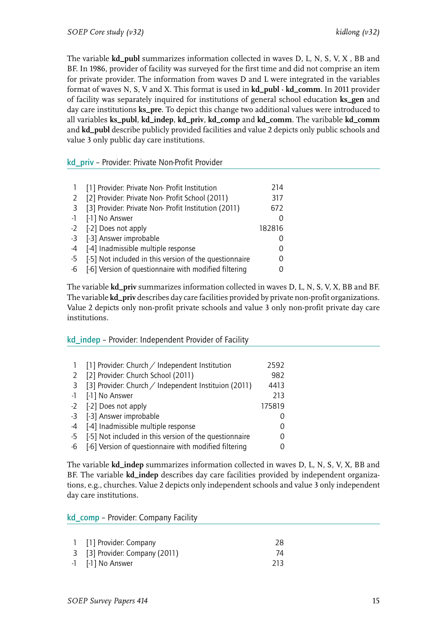The variable **kd\_publ** summarizes information collected in waves D, L, N, S, V, X , BB and BF. In 1986, provider of facility was surveyed for the first time and did not comprise an item for private provider. The information from waves D and L were integrated in the variables format of waves N, S, V and X. This format is used in **kd\_publ** - **kd\_comm**. In 2011 provider of facility was separately inquired for institutions of general school education **ks\_gen** and day care institutions **ks\_pre**. To depict this change two additional values were introduced to all variables **ks\_publ**, **kd\_indep**, **kd\_priv**, **kd\_comp** and **kd\_comm**. The varibable **kd\_comm** and **kd\_publ** describe publicly provided facilities and value 2 depicts only public schools and value 3 only public day care institutions.

#### <span id="page-16-0"></span>kd priv - Provider: Private Non-Profit Provider

|      | [1] Provider: Private Non- Profit Institution          | 214    |
|------|--------------------------------------------------------|--------|
| 2    | [2] Provider: Private Non- Profit School (2011)        | 317    |
| 3    | [3] Provider: Private Non- Profit Institution (2011)   | 672    |
|      | -1 [-1] No Answer                                      |        |
|      | -2 [-2] Does not apply                                 | 182816 |
|      | -3 [-3] Answer improbable                              |        |
| $-4$ | [-4] Inadmissible multiple response                    |        |
| -5   | [-5] Not included in this version of the questionnaire |        |
| -6   | [-6] Version of questionnaire with modified filtering  |        |

The variable **kd\_priv** summarizes information collected in waves D, L, N, S, V, X, BB and BF. The variable **kd\_priv** describes day care facilities provided by private non-profit organizations. Value 2 depicts only non-profit private schools and value 3 only non-profit private day care institutions.

#### <span id="page-16-1"></span>kd indep - Provider: Independent Provider of Facility

|              | [1] Provider: Church / Independent Institution         | 2592   |
|--------------|--------------------------------------------------------|--------|
| <sup>2</sup> | [2] Provider: Church School (2011)                     | 982    |
| -3           | [3] Provider: Church / Independent Instituion (2011)   | 4413   |
| $-1$         | [-1] No Answer                                         | 213    |
|              | -2 [-2] Does not apply                                 | 175819 |
| $-3$         | [-3] Answer improbable                                 |        |
| $-4$         | [-4] Inadmissible multiple response                    |        |
| $-5$         | [-5] Not included in this version of the questionnaire |        |
| -6           | [-6] Version of questionnaire with modified filtering  |        |

The variable **kd\_indep** summarizes information collected in waves D, L, N, S, V, X, BB and BF. The variable **kd\_indep** describes day care facilities provided by independent organizations, e.g., churches. Value 2 depicts only independent schools and value 3 only independent day care institutions.

#### <span id="page-16-2"></span>kd\_comp – Provider: Company Facility

| 1 [1] Provider: Company        | 28  |
|--------------------------------|-----|
| 3 [3] Provider: Company (2011) | 74  |
| -1 [-1] No Answer              | 213 |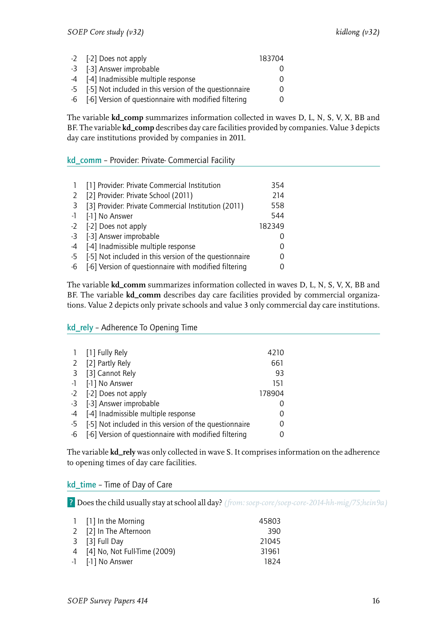| -2 [-2] Does not apply                                    | 183704 |
|-----------------------------------------------------------|--------|
| -3 [-3] Answer improbable                                 |        |
| 4 [-4] Inadmissible multiple response                     |        |
| -5 [-5] Not included in this version of the questionnaire |        |
| -6 [-6] Version of questionnaire with modified filtering  |        |

The variable **kd\_comp** summarizes information collected in waves D, L, N, S, V, X, BB and BF. The variable **kd\_comp** describes day care facilities provided by companies. Value 3 depicts day care institutions provided by companies in 2011.

#### <span id="page-17-0"></span>kd\_comm – Provider: Private- Commercial Facility

|    | [1] Provider: Private Commercial Institution           | 354    |
|----|--------------------------------------------------------|--------|
| 2  | [2] Provider: Private School (2011)                    | 214    |
| -3 | [3] Provider: Private Commercial Institution (2011)    | 558    |
|    | -1 [-1] No Answer                                      | 544    |
|    | -2 [-2] Does not apply                                 | 182349 |
|    | -3 [-3] Answer improbable                              |        |
|    | -4 [-4] Inadmissible multiple response                 |        |
| -5 | [-5] Not included in this version of the questionnaire | O      |
| -6 | [-6] Version of questionnaire with modified filtering  |        |

The variable **kd\_comm** summarizes information collected in waves D, L, N, S, V, X, BB and BF. The variable **kd\_comm** describes day care facilities provided by commercial organizations. Value 2 depicts only private schools and value 3 only commercial day care institutions.

#### <span id="page-17-1"></span>kd\_rely – Adherence To Opening Time

|      | 1 [1] Fully Rely                                       | 4210   |
|------|--------------------------------------------------------|--------|
|      | 2 [2] Partly Rely                                      | 661    |
|      | 3 [3] Cannot Rely                                      | 93     |
|      | -1 [-1] No Answer                                      | 151    |
|      | -2 [-2] Does not apply                                 | 178904 |
|      | -3 [-3] Answer improbable                              |        |
|      | -4 [-4] Inadmissible multiple response                 |        |
| $-5$ | [-5] Not included in this version of the questionnaire | 0      |
| -6   | [-6] Version of questionnaire with modified filtering  |        |

The variable **kd\_rely** was only collected in wave S. It comprises information on the adherence to opening times of day care facilities.

#### <span id="page-17-2"></span>kd\_time – Time of Day of Care

? Does the child usually stay at school all day? *(from: soep-core/soep-core-2014-hh-mig/75;hein9a)*

| 1 [1] In the Morning           | 45803 |
|--------------------------------|-------|
| 2 [2] In The Afternoon         | 390   |
| 3 [3] Full Day                 | 21045 |
| 4 [4] No, Not Full-Time (2009) | 31961 |
| -1 [-1] No Answer              | 1824  |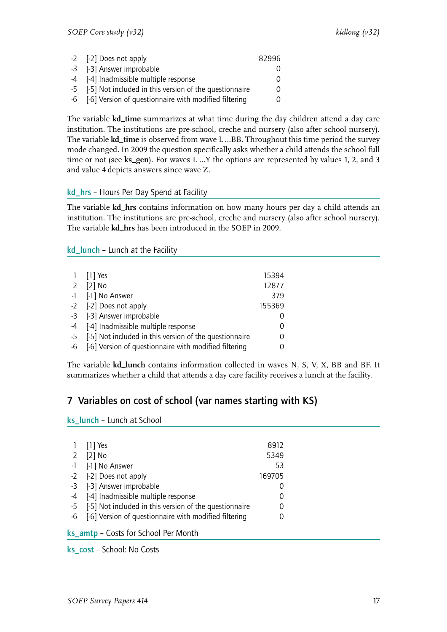| -2 [-2] Does not apply                                    | 82996    |
|-----------------------------------------------------------|----------|
| -3 [-3] Answer improbable                                 |          |
| -4 [-4] Inadmissible multiple response                    | $\Omega$ |
| -5 [-5] Not included in this version of the questionnaire | 0        |
| -6 [-6] Version of questionnaire with modified filtering  | $\Omega$ |

The variable **kd\_time** summarizes at what time during the day children attend a day care institution. The institutions are pre-school, creche and nursery (also after school nursery). The variable **kd\_time** is observed from wave L …BB. Throughout this time period the survey mode changed. In 2009 the question specifically asks whether a child attends the school full time or not (see **ks\_gen**). For waves L …Y the options are represented by values 1, 2, and 3 and value 4 depicts answers since wave Z.

#### <span id="page-18-0"></span>kd\_hrs – Hours Per Day Spend at Facility

The variable **kd\_hrs** contains information on how many hours per day a child attends an institution. The institutions are pre-school, creche and nursery (also after school nursery). The variable **kd\_hrs** has been introduced in the SOEP in 2009.

#### <span id="page-18-1"></span>kd\_lunch – Lunch at the Facility

|      | 1 [1] Yes                                              | 15394  |
|------|--------------------------------------------------------|--------|
| 2    | $[2]$ No                                               | 12877  |
|      | -1 [-1] No Answer                                      | 379    |
|      | -2 [-2] Does not apply                                 | 155369 |
|      | -3 [-3] Answer improbable                              |        |
|      | -4 [-4] Inadmissible multiple response                 |        |
| $-5$ | [-5] Not included in this version of the questionnaire | 0      |
| -6   | [-6] Version of questionnaire with modified filtering  |        |

The variable **kd\_lunch** contains information collected in waves N, S, V, X, BB and BF. It summarizes whether a child that attends a day care facility receives a lunch at the facility.

## <span id="page-18-2"></span>7 Variables on cost of school (var names starting with KS)

ks\_lunch – Lunch at School

| 8912   |
|--------|
| 5349   |
| 53     |
| 169705 |
| 0      |
| 0      |
| 0      |
| 0      |
|        |
|        |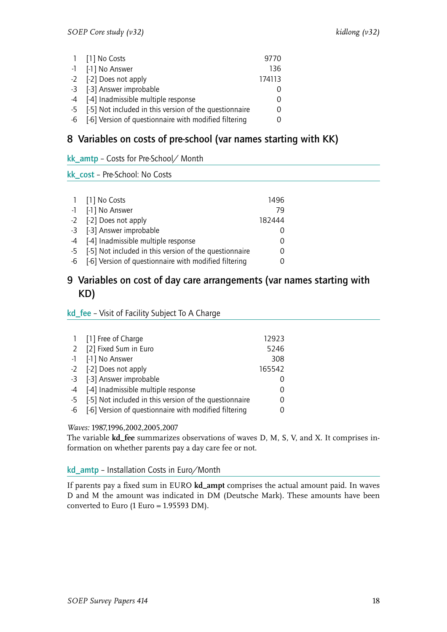| 1 [1] No Costs                                            | 9770     |
|-----------------------------------------------------------|----------|
| -1 [-1] No Answer                                         | 136      |
| -2 [-2] Does not apply                                    | 174113   |
| -3 [-3] Answer improbable                                 |          |
| -4 [-4] Inadmissible multiple response                    | $\Omega$ |
| -5 [-5] Not included in this version of the questionnaire | O        |
| -6 [-6] Version of questionnaire with modified filtering  | $\cup$   |

## <span id="page-19-0"></span>8 Variables on costs of pre-school (var names starting with KK)

<span id="page-19-1"></span>kk\_amtp – Costs for Pre-School/ Month

<span id="page-19-2"></span>kk\_cost – Pre-School: No Costs

| 1 [1] No Costs                                            | 1496   |
|-----------------------------------------------------------|--------|
| -1 [-1] No Answer                                         | 79     |
| -2 [-2] Does not apply                                    | 182444 |
| -3 [-3] Answer improbable                                 |        |
| -4 [-4] Inadmissible multiple response                    | 0      |
| -5 [-5] Not included in this version of the questionnaire | 0      |
| -6 [-6] Version of questionnaire with modified filtering  |        |
|                                                           |        |

## <span id="page-19-3"></span>9 Variables on cost of day care arrangements (var names starting with KD)

#### <span id="page-19-4"></span>kd\_fee – Visit of Facility Subject To A Charge

| 1 [1] Free of Charge                                      | 12923  |
|-----------------------------------------------------------|--------|
| 2 [2] Fixed Sum in Euro                                   | 5246   |
| -1 [-1] No Answer                                         | 308    |
| -2 [-2] Does not apply                                    | 165542 |
| -3 [-3] Answer improbable                                 |        |
| -4 [-4] Inadmissible multiple response                    | 0      |
| -5 [-5] Not included in this version of the questionnaire | O      |
| -6 [-6] Version of questionnaire with modified filtering  |        |

#### *Waves:* 1987,1996,2002,2005,2007

The variable **kd\_fee** summarizes observations of waves D, M, S, V, and X. It comprises information on whether parents pay a day care fee or not.

#### <span id="page-19-5"></span>kd\_amtp – Installation Costs in Euro/Month

If parents pay a fixed sum in EURO **kd\_ampt** comprises the actual amount paid. In waves D and M the amount was indicated in DM (Deutsche Mark). These amounts have been converted to Euro (1 Euro = 1.95593 DM).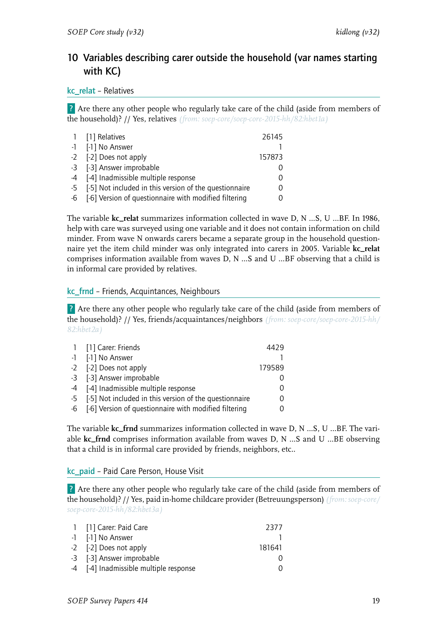## <span id="page-20-0"></span>10 Variables describing carer outside the household (var names starting with KC)

#### <span id="page-20-1"></span>kc\_relat – Relatives

? Are there any other people who regularly take care of the child (aside from members of the household)? // Yes, relatives *(from: soep-core/soep-core-2015-hh/82:hbet1a)*

| 1 [1] Relatives                                           | 26145    |
|-----------------------------------------------------------|----------|
| -1 [-1] No Answer                                         |          |
| -2 [-2] Does not apply                                    | 157873   |
| -3 [-3] Answer improbable                                 |          |
| -4 [-4] Inadmissible multiple response                    | $\Omega$ |
| -5 [-5] Not included in this version of the questionnaire | $\Omega$ |
| -6 [-6] Version of questionnaire with modified filtering  |          |

The variable **kc\_relat** summarizes information collected in wave D, N …S, U …BF. In 1986, help with care was surveyed using one variable and it does not contain information on child minder. From wave N onwards carers became a separate group in the household questionnaire yet the item child minder was only integrated into carers in 2005. Variable **kc\_relat** comprises information available from waves D, N …S and U …BF observing that a child is in informal care provided by relatives.

#### <span id="page-20-2"></span>kc\_frnd – Friends, Acquintances, Neighbours

? Are there any other people who regularly take care of the child (aside from members of the household)? // Yes, friends/acquaintances/neighbors *(from: soep-core/soep-core-2015-hh/ 82:hbet2a)*

| 1 [1] Carer: Friends                                      | 4429   |
|-----------------------------------------------------------|--------|
| -1 [-1] No Answer                                         |        |
| -2 [-2] Does not apply                                    | 179589 |
| -3 [-3] Answer improbable                                 |        |
| -4 [-4] Inadmissible multiple response                    |        |
| -5 [-5] Not included in this version of the questionnaire |        |
| -6 [-6] Version of questionnaire with modified filtering  |        |

The variable **kc\_frnd** summarizes information collected in wave D, N …S, U …BF. The variable **kc\_frnd** comprises information available from waves D, N …S and U …BE observing that a child is in informal care provided by friends, neighbors, etc..

#### <span id="page-20-3"></span>kc\_paid – Paid Care Person, House Visit

? Are there any other people who regularly take care of the child (aside from members of the household)? // Yes, paid in-home childcare provider (Betreuungsperson) *(from: soep-core/ soep-core-2015-hh/82:hbet3a)*

| 1 [1] Carer: Paid Care                 | 2377   |
|----------------------------------------|--------|
| -1 [-1] No Answer                      |        |
| -2 [-2] Does not apply                 | 181641 |
| -3 [-3] Answer improbable              |        |
| -4 [-4] Inadmissible multiple response |        |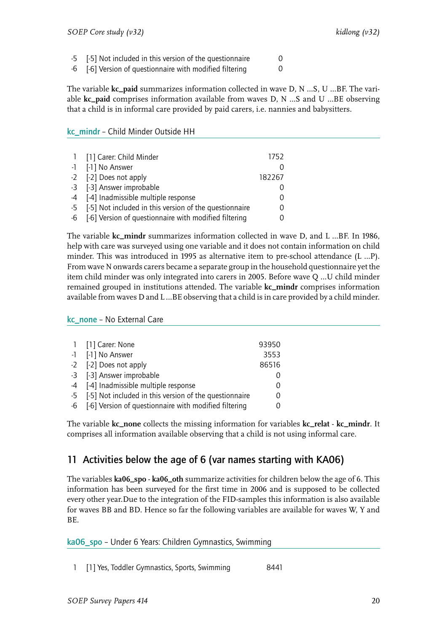-5 [-5] Not included in this version of the questionnaire 0

-6 [-6] Version of questionnaire with modified filtering 0

The variable **kc\_paid** summarizes information collected in wave D, N …S, U …BF. The variable **kc\_paid** comprises information available from waves D, N …S and U …BE observing that a child is in informal care provided by paid carers, i.e. nannies and babysitters.

#### <span id="page-21-0"></span>kc\_mindr – Child Minder Outside HH

| 1 [1] Carer: Child Minder                                 | 1752   |
|-----------------------------------------------------------|--------|
| -1 [-1] No Answer                                         |        |
| -2 [-2] Does not apply                                    | 182267 |
| -3 [-3] Answer improbable                                 |        |
| -4 [-4] Inadmissible multiple response                    | 0      |
| -5 [-5] Not included in this version of the questionnaire | 0      |
| -6 [-6] Version of questionnaire with modified filtering  |        |

The variable **kc\_mindr** summarizes information collected in wave D, and L …BF. In 1986, help with care was surveyed using one variable and it does not contain information on child minder. This was introduced in 1995 as alternative item to pre-school attendance (L …P). From wave N onwards carers became a separate group in the household questionnaire yet the item child minder was only integrated into carers in 2005. Before wave Q …U child minder remained grouped in institutions attended. The variable **kc\_mindr** comprises information available from waves D and L …BE observing that a child is in care provided by a child minder.

<span id="page-21-1"></span>kc\_none – No External Care

|      | 1 [1] Carer: None                                        | 93950 |
|------|----------------------------------------------------------|-------|
|      | -1 [-1] No Answer                                        | 3553  |
|      | -2 [-2] Does not apply                                   | 86516 |
|      | -3 [-3] Answer improbable                                | 0     |
|      | -4 [-4] Inadmissible multiple response                   | 0     |
| $-5$ | [-5] Not included in this version of the questionnaire   | 0     |
|      | -6 [-6] Version of questionnaire with modified filtering | 0     |
|      |                                                          |       |

The variable **kc\_none** collects the missing information for variables **kc\_relat** - **kc\_mindr**. It comprises all information available observing that a child is not using informal care.

## <span id="page-21-2"></span>11 Activities below the age of 6 (var names starting with KA06)

The variables **ka06\_spo** - **ka06\_oth** summarize activities for children below the age of 6. This information has been surveyed for the first time in 2006 and is supposed to be collected every other year.Due to the integration of the FID-samples this information is also available for waves BB and BD. Hence so far the following variables are available for waves W, Y and BE.

<span id="page-21-3"></span>ka06\_spo – Under 6 Years: Children Gymnastics, Swimming

1 [1] Yes, Toddler Gymnastics, Sports, Swimming 8441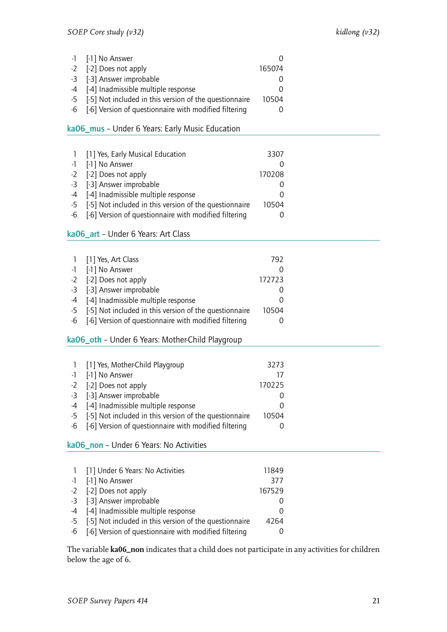| -1 [-1] No Answer                                         |        |  |
|-----------------------------------------------------------|--------|--|
| -2 [-2] Does not apply                                    | 165074 |  |
| -3 [-3] Answer improbable                                 |        |  |
| -4 [-4] Inadmissible multiple response                    |        |  |
| -5 [-5] Not included in this version of the questionnaire | 10504  |  |
| -6 [-6] Version of questionnaire with modified filtering  |        |  |

#### <span id="page-22-0"></span>ka06\_mus – Under 6 Years: Early Music Education

| $\overline{1}$ | [1] Yes, Early Musical Education                          | 3307          |
|----------------|-----------------------------------------------------------|---------------|
|                | -1 [-1] No Answer                                         |               |
|                | -2 [-2] Does not apply                                    | 170208        |
|                | -3 [-3] Answer improbable                                 |               |
|                | -4 [-4] Inadmissible multiple response                    | $\mathcal{L}$ |
|                | -5 [-5] Not included in this version of the questionnaire | 10504         |
|                | -6 [-6] Version of questionnaire with modified filtering  |               |

#### <span id="page-22-1"></span>ka06\_art – Under 6 Years: Art Class

|    | 1 [1] Yes, Art Class                                      | 792              |
|----|-----------------------------------------------------------|------------------|
|    | -1 [-1] No Answer                                         |                  |
|    | -2 [-2] Does not apply                                    | 172723           |
|    | -3 [-3] Answer improbable                                 |                  |
|    | -4 [-4] Inadmissible multiple response                    | $\left( \right)$ |
|    | -5 [-5] Not included in this version of the questionnaire | 10504            |
| -6 | [-6] Version of questionnaire with modified filtering     |                  |

#### <span id="page-22-2"></span>ka06\_oth – Under 6 Years: Mother-Child Playgroup

| [1] Yes, Mother-Child Playgroup<br>$\overline{1}$         | 3273   |
|-----------------------------------------------------------|--------|
| -1 [-1] No Answer                                         | 17     |
| -2 [-2] Does not apply                                    | 170225 |
| -3 [-3] Answer improbable                                 |        |
| -4 [-4] Inadmissible multiple response                    |        |
| -5 [-5] Not included in this version of the questionnaire | 10504  |
| -6 [-6] Version of questionnaire with modified filtering  |        |
|                                                           |        |

#### <span id="page-22-3"></span>ka06\_non – Under 6 Years: No Activities

| 1 [1] Under 6 Years: No Activities                        | 11849    |
|-----------------------------------------------------------|----------|
| -1 [-1] No Answer                                         | 377      |
| -2 [-2] Does not apply                                    | 167529   |
| -3 [-3] Answer improbable                                 |          |
| -4 [-4] Inadmissible multiple response                    | $\left($ |
| -5 [-5] Not included in this version of the questionnaire | 4264     |
| -6 [-6] Version of questionnaire with modified filtering  |          |

The variable **ka06\_non** indicates that a child does not participate in any activities for children below the age of 6.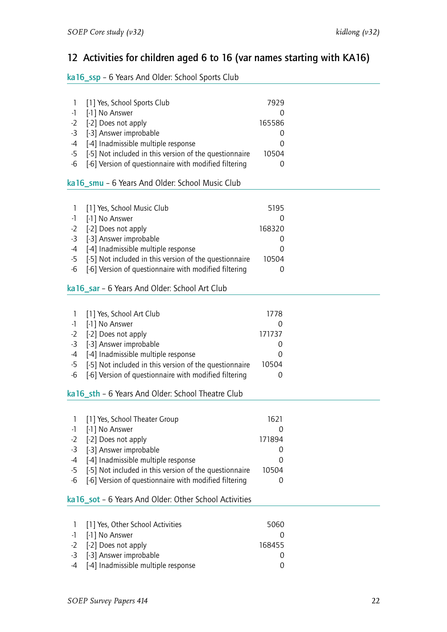## <span id="page-23-0"></span>12 Activities for children aged 6 to 16 (var names starting with KA16)

#### <span id="page-23-1"></span>ka16\_ssp – 6 Years And Older: School Sports Club

<span id="page-23-5"></span><span id="page-23-4"></span><span id="page-23-3"></span><span id="page-23-2"></span>

| 1<br>$-1$<br>$-2$<br>$-3$<br>-4<br>$-5$<br>-6              | [1] Yes, School Sports Club<br>[-1] No Answer<br>[-2] Does not apply<br>[-3] Answer improbable<br>[-4] Inadmissible multiple response<br>[-5] Not included in this version of the questionnaire<br>[-6] Version of questionnaire with modified filtering<br>ka16_smu - 6 Years And Older: School Music Club | 7929<br>0<br>165586<br>0<br>0<br>10504<br>0 |  |
|------------------------------------------------------------|-------------------------------------------------------------------------------------------------------------------------------------------------------------------------------------------------------------------------------------------------------------------------------------------------------------|---------------------------------------------|--|
|                                                            |                                                                                                                                                                                                                                                                                                             |                                             |  |
| $\mathbf{1}$<br>-1<br>$-2$<br>$-3$<br>$-4$<br>$-5$<br>$-6$ | [1] Yes, School Music Club<br>[-1] No Answer<br>[-2] Does not apply<br>[-3] Answer improbable<br>[-4] Inadmissible multiple response<br>[-5] Not included in this version of the questionnaire<br>[-6] Version of questionnaire with modified filtering<br>ka16_sar - 6 Years And Older: School Art Club    | 5195<br>0<br>168320<br>0<br>0<br>10504<br>0 |  |
|                                                            |                                                                                                                                                                                                                                                                                                             |                                             |  |
| 1                                                          | [1] Yes, School Art Club                                                                                                                                                                                                                                                                                    | 1778                                        |  |
| $-1$                                                       | [-1] No Answer                                                                                                                                                                                                                                                                                              | 0                                           |  |
| $-2$                                                       | [-2] Does not apply                                                                                                                                                                                                                                                                                         | 171737                                      |  |
| $-3$                                                       | [-3] Answer improbable                                                                                                                                                                                                                                                                                      | 0                                           |  |
| -4                                                         | [-4] Inadmissible multiple response                                                                                                                                                                                                                                                                         | 0                                           |  |
| $-5$<br>$-6$                                               | [-5] Not included in this version of the questionnaire<br>[-6] Version of questionnaire with modified filtering                                                                                                                                                                                             | 10504<br>0                                  |  |
|                                                            | ka16_sth - 6 Years And Older: School Theatre Club                                                                                                                                                                                                                                                           |                                             |  |
|                                                            |                                                                                                                                                                                                                                                                                                             |                                             |  |
| 1                                                          | [1] Yes, School Theater Group                                                                                                                                                                                                                                                                               | 1621                                        |  |
| -1                                                         | [-1] No Answer                                                                                                                                                                                                                                                                                              | $\mathbf 0$                                 |  |
| $-2$                                                       | [-2] Does not apply                                                                                                                                                                                                                                                                                         | 171894                                      |  |
| $-3$                                                       | [-3] Answer improbable                                                                                                                                                                                                                                                                                      | 0                                           |  |
| $-4$                                                       | [-4] Inadmissible multiple response                                                                                                                                                                                                                                                                         | 0                                           |  |
| $-5$                                                       | [-5] Not included in this version of the questionnaire                                                                                                                                                                                                                                                      | 10504                                       |  |
| $-6$                                                       | [-6] Version of questionnaire with modified filtering                                                                                                                                                                                                                                                       | 0                                           |  |
|                                                            | ka16_sot - 6 Years And Older: Other School Activities                                                                                                                                                                                                                                                       |                                             |  |
|                                                            |                                                                                                                                                                                                                                                                                                             |                                             |  |
| 1                                                          | [1] Yes, Other School Activities                                                                                                                                                                                                                                                                            | 5060                                        |  |
| -1                                                         | [-1] No Answer                                                                                                                                                                                                                                                                                              | 0                                           |  |
| $-2$                                                       | [-2] Does not apply                                                                                                                                                                                                                                                                                         | 168455                                      |  |
| $-3$<br>$-4$                                               | [-3] Answer improbable<br>[-4] Inadmissible multiple response                                                                                                                                                                                                                                               | 0<br>0                                      |  |
|                                                            |                                                                                                                                                                                                                                                                                                             |                                             |  |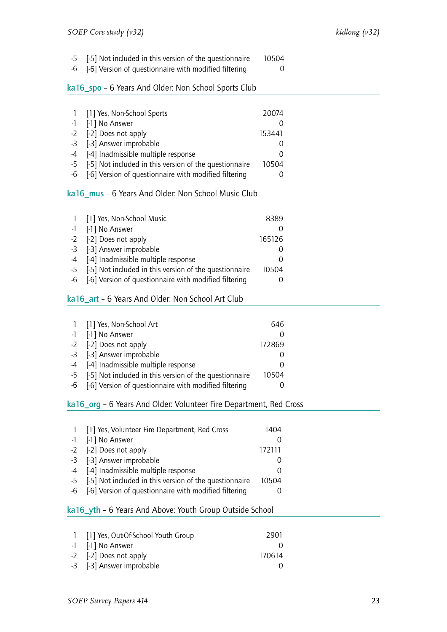-5 [-5] Not included in this version of the questionnaire 10504

-6 [-6] Version of questionnaire with modified filtering 0

#### <span id="page-24-0"></span>ka16\_spo – 6 Years And Older: Non School Sports Club

| 1 [1] Yes, Non-School Sports                              | 20074  |  |
|-----------------------------------------------------------|--------|--|
| -1 [-1] No Answer                                         |        |  |
| -2 [-2] Does not apply                                    | 153441 |  |
| -3 [-3] Answer improbable                                 |        |  |
| -4 [-4] Inadmissible multiple response                    |        |  |
| -5 [-5] Not included in this version of the questionnaire | 10504  |  |
| -6 [-6] Version of questionnaire with modified filtering  |        |  |

#### <span id="page-24-1"></span>ka16\_mus – 6 Years And Older: Non School Music Club

| 1 [1] Yes, Non-School Music                               | 8389     |
|-----------------------------------------------------------|----------|
| -1 [-1] No Answer                                         |          |
| -2 [-2] Does not apply                                    | 165126   |
| -3 [-3] Answer improbable                                 |          |
| -4 [-4] Inadmissible multiple response                    | $\left($ |
| -5 [-5] Not included in this version of the questionnaire | 10504    |
| -6 [-6] Version of questionnaire with modified filtering  |          |

#### <span id="page-24-2"></span>ka16\_art – 6 Years And Older: Non School Art Club

| 1 [1] Yes, Non-School Art                                 | 646      |
|-----------------------------------------------------------|----------|
| -1 [-1] No Answer                                         |          |
| -2 [-2] Does not apply                                    | 172869   |
| -3 [-3] Answer improbable                                 |          |
| -4 [-4] Inadmissible multiple response                    | $\left($ |
| -5 [-5] Not included in this version of the questionnaire | 10504    |
| -6 [-6] Version of questionnaire with modified filtering  |          |

#### <span id="page-24-3"></span>ka16\_org – 6 Years And Older: Volunteer Fire Department, Red Cross

| $\mathbf{1}$ | [1] Yes, Volunteer Fire Department, Red Cross             | 1404             |
|--------------|-----------------------------------------------------------|------------------|
|              | -1 [-1] No Answer                                         |                  |
|              | -2 [-2] Does not apply                                    | 172111           |
|              | -3 [-3] Answer improbable                                 |                  |
|              | -4 [-4] Inadmissible multiple response                    | $\left( \right)$ |
|              | -5 [-5] Not included in this version of the questionnaire | 10504            |
|              | -6 [-6] Version of questionnaire with modified filtering  |                  |

#### <span id="page-24-4"></span>ka16\_yth – 6 Years And Above: Youth Group Outside School

| 1 [1] Yes, Out-Of-School Youth Group | 2901     |
|--------------------------------------|----------|
| -1 [-1] No Answer                    |          |
| -2 [-2] Does not apply               | 170614   |
| -3 [-3] Answer improbable            | $\Omega$ |
|                                      |          |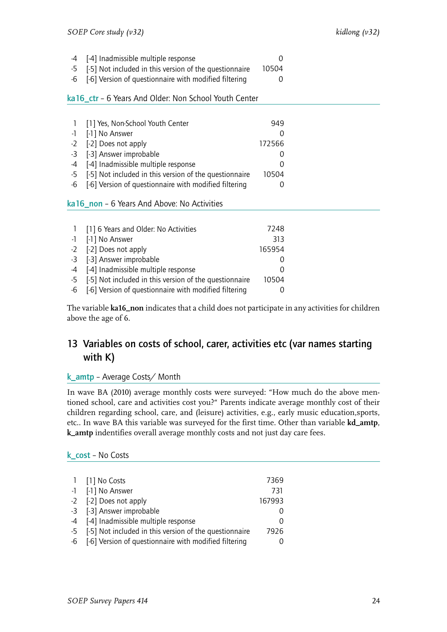| -4 [-4] Inadmissible multiple response                    |       |
|-----------------------------------------------------------|-------|
| -5 [-5] Not included in this version of the questionnaire | 10504 |

-6 [-6] Version of questionnaire with modified filtering 0

#### <span id="page-25-0"></span>ka16\_ctr – 6 Years And Older: Non School Youth Center

|    | [1] Yes, Non-School Youth Center                          | 949    |
|----|-----------------------------------------------------------|--------|
|    | -1 [-1] No Answer                                         |        |
|    | -2 [-2] Does not apply                                    | 172566 |
|    | -3 [-3] Answer improbable                                 |        |
|    | -4 [-4] Inadmissible multiple response                    |        |
|    | -5 [-5] Not included in this version of the questionnaire | 10504  |
| -6 | [-6] Version of questionnaire with modified filtering     |        |

#### <span id="page-25-1"></span>ka16 non – 6 Years And Above: No Activities

| 1 [1] 6 Years and Older: No Activities                    | 7248   |
|-----------------------------------------------------------|--------|
| -1 [-1] No Answer                                         | 313    |
| -2 [-2] Does not apply                                    | 165954 |
| -3 [-3] Answer improbable                                 |        |
| -4 [-4] Inadmissible multiple response                    |        |
| -5 [-5] Not included in this version of the questionnaire | 10504  |
| -6 [-6] Version of questionnaire with modified filtering  |        |

The variable **ka16\_non** indicates that a child does not participate in any activities for children above the age of 6.

## <span id="page-25-2"></span>13 Variables on costs of school, carer, activities etc (var names starting with K)

#### <span id="page-25-3"></span>k\_amtp – Average Costs/ Month

In wave BA (2010) average monthly costs were surveyed: "How much do the above mentioned school, care and activities cost you?" Parents indicate average monthly cost of their children regarding school, care, and (leisure) activities, e.g., early music education,sports, etc.. In wave BA this variable was surveyed for the first time. Other than variable **kd\_amtp**, **k\_amtp** indentifies overall average monthly costs and not just day care fees.

#### <span id="page-25-4"></span>k\_cost – No Costs

| 1 [1] No Costs                                            | 7369     |
|-----------------------------------------------------------|----------|
| -1 [-1] No Answer                                         | 731      |
| -2 [-2] Does not apply                                    | 167993   |
| -3 [-3] Answer improbable                                 |          |
| -4 [-4] Inadmissible multiple response                    | $\left($ |
| -5 [-5] Not included in this version of the questionnaire | 7926     |
| -6 [-6] Version of questionnaire with modified filtering  |          |
|                                                           |          |